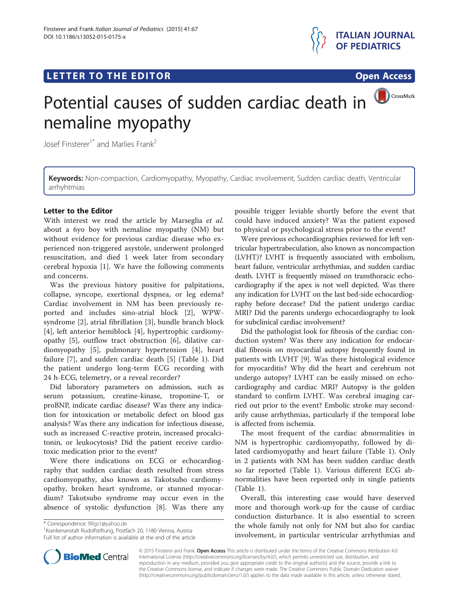# **LETTER TO THE EDITOR CONSIDERING ACCESS**



CrossMark

# Potential causes of sudden cardiac death in nemaline myopathy

Josef Finsterer<sup>1\*</sup> and Marlies Frank<sup>2</sup>

Keywords: Non-compaction, Cardiomyopathy, Myopathy, Cardiac involvement, Sudden cardiac death, Ventricular arrhyhtmias

# Letter to the Editor

With interest we read the article by Marseglia et al. about a 6yo boy with nemaline myopathy (NM) but without evidence for previous cardiac disease who experienced non-triggered asystole, underwent prolonged resuscitation, and died 1 week later from secondary cerebral hypoxia [\[1](#page-1-0)]. We have the following comments and concerns.

Was the previous history positive for palpitations, collapse, syncope, exertional dyspnea, or leg edema? Cardiac involvement in NM has been previously reported and includes sino-atrial block [[2\]](#page-1-0), WPWsyndrome [[2\]](#page-1-0), atrial fibrillation [\[3](#page-1-0)], bundle branch block [[4\]](#page-1-0), left anterior hemiblock [\[4](#page-1-0)], hypertrophic cardiomyopathy [[5\]](#page-1-0), outflow tract obstruction [\[6](#page-1-0)], dilative cardiomyopathy [\[5](#page-1-0)], pulmonary hypertension [\[4](#page-1-0)], heart failure [[7\]](#page-1-0), and sudden cardiac death [[5\]](#page-1-0) (Table [1](#page-1-0)). Did the patient undergo long-term ECG recording with 24 h-ECG, telemetry, or a reveal recorder?

Did laboratory parameters on admission, such as serum potassium, creatine-kinase, troponine-T, or proBNP, indicate cardiac disease? Was there any indication for intoxication or metabolic defect on blood gas analysis? Was there any indication for infectious disease, such as increased C-reactive protein, increased procalcitonin, or leukocytosis? Did the patient receive cardiotoxic medication prior to the event?

Were there indications on ECG or echocardiography that sudden cardiac death resulted from stress cardiomyopathy, also known as Takotsubo cardiomyopathy, broken heart syndrome, or stunned myocardium? Takotsubo syndrome may occur even in the absence of systolic dysfunction [[8\]](#page-1-0). Was there any

\* Correspondence: [fifigs1@yahoo.de](mailto:fifigs1@yahoo.de) <sup>1</sup>

<sup>1</sup> Krankenanstalt Rudolfstiftung, Postfach 20, 1180 Vienna, Austria Full list of author information is available at the end of the article possible trigger leviable shortly before the event that could have induced anxiety? Was the patient exposed to physical or psychological stress prior to the event?

Were previous echocardiographies reviewed for left ventricular hypertrabeculation, also known as noncompaction (LVHT)? LVHT is frequently associated with embolism, heart failure, ventricular arrhythmias, and sudden cardiac death. LVHT is frequently missed on transthoracic echocardiography if the apex is not well depicted. Was there any indication for LVHT on the last bed-side echocardiography before decease? Did the patient undergo cardiac MRI? Did the parents undergo echocardiography to look for subclinical cardiac involvement?

Did the pathologist look for fibrosis of the cardiac conduction system? Was there any indication for endocardial fibrosis on myocardial autopsy frequently found in patients with LVHT [[9\]](#page-1-0). Was there histological evidence for myocarditis? Why did the heart and cerebrum not undergo autopsy? LVHT can be easily missed on echocardiography and cardiac MRI? Autopsy is the golden standard to confirm LVHT. Was cerebral imaging carried out prior to the event? Embolic stroke may secondarily cause arrhythmias, particularly if the temporal lobe is affected from ischemia.

The most frequent of the cardiac abnormalities in NM is hypertrophic cardiomyopathy, followed by dilated cardiomyopathy and heart failure (Table [1\)](#page-1-0). Only in 2 patients with NM has been sudden cardiac death so far reported (Table [1](#page-1-0)). Various different ECG abnormalities have been reported only in single patients (Table [1\)](#page-1-0).

Overall, this interesting case would have deserved more and thorough work-up for the cause of cardiac conduction disturbance. It is also essential to screen the whole family not only for NM but also for cardiac involvement, in particular ventricular arrhythmias and



© 2015 Finsterer and Frank. Open Access This article is distributed under the terms of the Creative Commons Attribution 4.0 International License [\(http://creativecommons.org/licenses/by/4.0/](http://creativecommons.org/licenses/by/4.0/)), which permits unrestricted use, distribution, and reproduction in any medium, provided you give appropriate credit to the original author(s) and the source, provide a link to the Creative Commons license, and indicate if changes were made. The Creative Commons Public Domain Dedication waiver [\(http://creativecommons.org/publicdomain/zero/1.0/](http://creativecommons.org/publicdomain/zero/1.0/)) applies to the data made available in this article, unless otherwise stated.